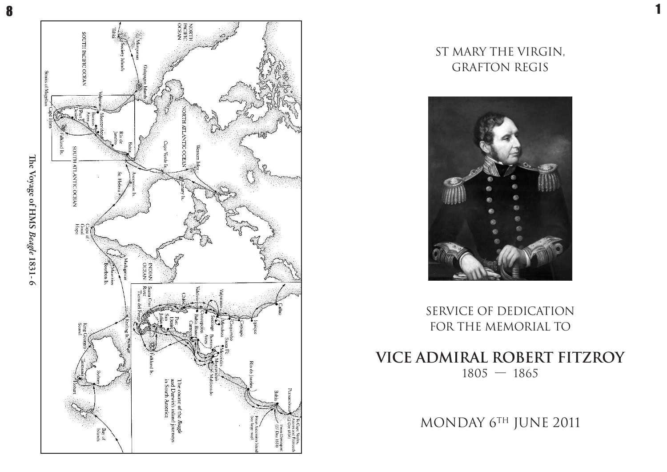8



## ST MARY THE VIRGIN, GRAFTON REGIS

1



SERVICE OF DEDICATION FOR THE MEMORIAL TO

**VICE ADMIRAL ROBERT FITZROY**  $1805 - 1865$ 

MONDAY 6TH JUNE 2011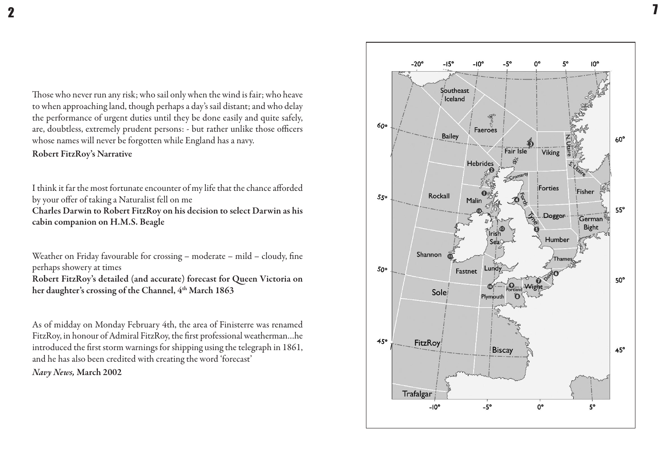Those who never run any risk; who sail only when the wind is fair; who heave to when approaching land, though perhaps a day's sail distant; and who delay the performance of urgent duties until they be done easily and quite safely, are, doubtless, extremely prudent persons: - but rather unlike those officers whose names will never be forgotten while England has a navy.

#### Robert FitzRoy's Narrative

I think it far the most fortunate encounter of my life that the chance afforded by your offer of taking a Naturalist fell on me Charles Darwin to Robert FitzRoy on his decision to select Darwin as his cabin companion on H.M.S. Beagle

Weather on Friday favourable for crossing – moderate – mild – cloudy, fine perhaps showery at times Robert FitzRoy's detailed (and accurate) forecast for Queen Victoria on her daughter's crossing of the Channel, 4<sup>th</sup> March 1863

As of midday on Monday February 4th, the area of Finisterre was renamed FitzRoy, in honour of Admiral FitzRoy, the first professional weatherman…he introduced the first storm warnings for shipping using the telegraph in 1861, and he has also been credited with creating the word 'forecast'

*Na vy Ne ws,* **M a r c h 2 0 0 2**



**T**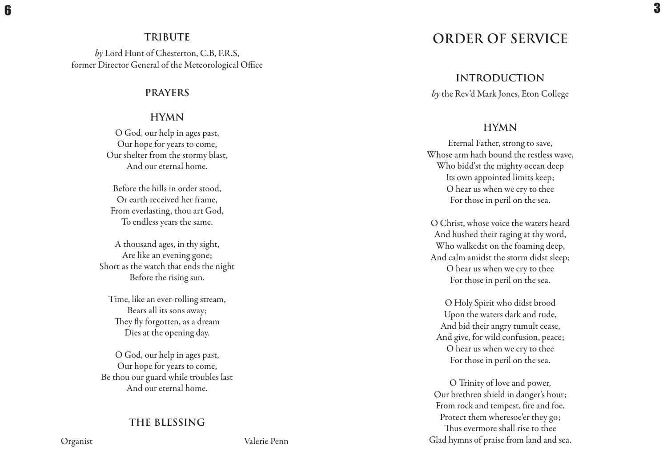### **T RI B U T E**

by Lord Hunt of Chesterton, C.B, F.R.S, former Director General of the Meteorological Office

### **P RAY E RS**

## **H YM N**

O God, our help in ages past, Our hope for years to come, Our shelter from the stormy blast, And our eternal home.

Before the hills in order stood, Or earth received her frame, From everlasting, thou art God, To endless years the same.

A thousand ages, in thy sight, Are like an evening gone; Short as the watch that ends the night Before the rising sun.

Time, like an ever-rolling stream, Bears all its sons away; They fly forgotten, as a dream Dies at the opening day.

O God, our help in ages past, Our hope for years to come, Be thou our guard while troubles last And our eternal home.

## THE BLESSING

# ORDER OF SERVICE

**INTRODUCTION** 

*by* the Rev'd Mark Jones, Eton College

## **H YM N**

Eternal Father, strong to save, Whose arm hath bound the restless wave, Who bidd'st the mighty ocean deep Its own appointed limits keep; O hear us when we cry to thee For those in peril on the sea.

O Christ, whose voice the waters heard And hushed their raging at thy word, Who walkedst on the foaming deep, And calm amidst the storm didst sleep; O hear us when we cry to thee For those in peril on the sea.

O Holy Spirit who didst brood Upon the waters dark and rude, And bid their angry tumult cease, And give, for wild confusion, peace; O hear us when we cry to thee For those in peril on the sea.

O Trinity of love and power, Our brethren shield in danger's hour; From rock and tempest, fire and foe, Protect them wheresoe'er they go; Thus evermore shall rise to thee Glad hymns of praise from land and sea.

Organist

Valerie Penn